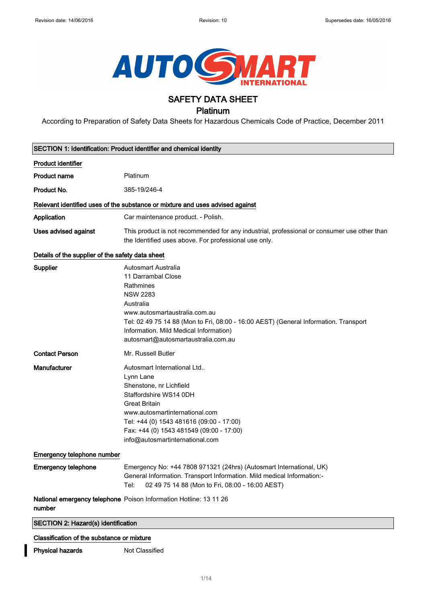

# SAFETY DATA SHEET

# Platinum

According to Preparation of Safety Data Sheets for Hazardous Chemicals Code of Practice, December 2011

|                                                  | SECTION 1: Identification: Product identifier and chemical identity                                                                                                                                                                                                                                     |
|--------------------------------------------------|---------------------------------------------------------------------------------------------------------------------------------------------------------------------------------------------------------------------------------------------------------------------------------------------------------|
| <b>Product identifier</b>                        |                                                                                                                                                                                                                                                                                                         |
| <b>Product name</b>                              | Platinum                                                                                                                                                                                                                                                                                                |
| Product No.                                      | 385-19/246-4                                                                                                                                                                                                                                                                                            |
|                                                  | Relevant identified uses of the substance or mixture and uses advised against                                                                                                                                                                                                                           |
| Application                                      | Car maintenance product. - Polish.                                                                                                                                                                                                                                                                      |
| <b>Uses advised against</b>                      | This product is not recommended for any industrial, professional or consumer use other than<br>the Identified uses above. For professional use only.                                                                                                                                                    |
| Details of the supplier of the safety data sheet |                                                                                                                                                                                                                                                                                                         |
| Supplier                                         | <b>Autosmart Australia</b><br>11 Darrambal Close<br>Rathmines<br><b>NSW 2283</b><br>Australia<br>www.autosmartaustralia.com.au<br>Tel: 02 49 75 14 88 (Mon to Fri, 08:00 - 16:00 AEST) (General Information. Transport<br>Information. Mild Medical Information)<br>autosmart@autosmartaustralia.com.au |
| <b>Contact Person</b>                            | Mr. Russell Butler                                                                                                                                                                                                                                                                                      |
| Manufacturer                                     | Autosmart International Ltd<br>Lynn Lane<br>Shenstone, nr Lichfield<br>Staffordshire WS14 0DH<br><b>Great Britain</b><br>www.autosmartinternational.com<br>Tel: +44 (0) 1543 481616 (09:00 - 17:00)<br>Fax: +44 (0) 1543 481549 (09:00 - 17:00)<br>info@autosmartinternational.com                      |
| Emergency telephone number                       |                                                                                                                                                                                                                                                                                                         |
| <b>Emergency telephone</b>                       | Emergency No: +44 7808 971321 (24hrs) (Autosmart International, UK)<br>General Information. Transport Information. Mild medical Information:-<br>02 49 75 14 88 (Mon to Fri, 08:00 - 16:00 AEST)<br>Tel:                                                                                                |
| number                                           | National emergency telephone Poison Information Hotline: 13 11 26                                                                                                                                                                                                                                       |
| SECTION 2: Hazard(s) identification              |                                                                                                                                                                                                                                                                                                         |
| Classification of the substance or mixture       |                                                                                                                                                                                                                                                                                                         |

# Physical hazards Not Classified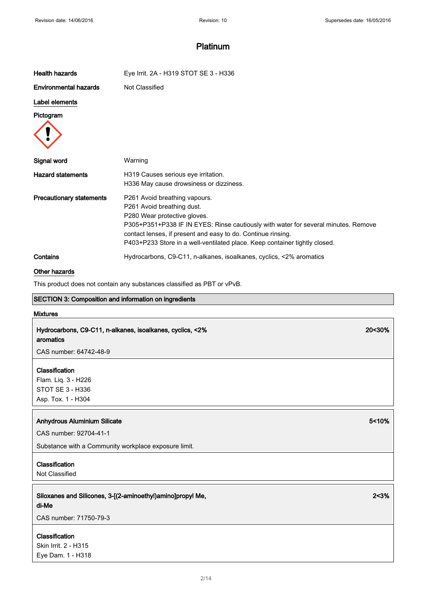| <b>Health hazards</b>           | Eye Irrit. 2A - H319 STOT SE 3 - H336                                                                                                                                                                                                                                                                                           |  |
|---------------------------------|---------------------------------------------------------------------------------------------------------------------------------------------------------------------------------------------------------------------------------------------------------------------------------------------------------------------------------|--|
| <b>Environmental hazards</b>    | Not Classified                                                                                                                                                                                                                                                                                                                  |  |
| Label elements                  |                                                                                                                                                                                                                                                                                                                                 |  |
| Pictogram                       |                                                                                                                                                                                                                                                                                                                                 |  |
| Signal word                     | Warning                                                                                                                                                                                                                                                                                                                         |  |
| <b>Hazard statements</b>        | H319 Causes serious eye irritation.<br>H336 May cause drowsiness or dizziness.                                                                                                                                                                                                                                                  |  |
| <b>Precautionary statements</b> | P261 Avoid breathing vapours.<br>P261 Avoid breathing dust.<br>P280 Wear protective gloves.<br>P305+P351+P338 IF IN EYES: Rinse cautiously with water for several minutes. Remove<br>contact lenses, if present and easy to do. Continue rinsing.<br>P403+P233 Store in a well-ventilated place. Keep container tightly closed. |  |
| Contains                        | Hydrocarbons, C9-C11, n-alkanes, isoalkanes, cyclics, <2% aromatics                                                                                                                                                                                                                                                             |  |

## Other hazards

This product does not contain any substances classified as PBT or vPvB.

### SECTION 3: Composition and information on ingredients

## Mixtures

Hydrocarbons, C9-C11, n-alkanes, isoalkanes, cyclics, <2% aromatics

CAS number: 64742-48-9

## Classification

Flam. Liq. 3 - H226 STOT SE 3 - H336 Asp. Tox. 1 - H304

### Anhydrous Aluminium Silicate 5-10% and the state of the state  $5$ -10% of the state  $5$ -10% of the state  $5$ -10% of the state  $5$ -10% of the state  $5$ -10% of the state  $5$ -10% of the state  $5$ -10% of the state  $5$ -10% of th

CAS number: 92704-41-1

Substance with a Community workplace exposure limit.

# Classification

Not Classified

Siloxanes and Silicones, 3-[(2-aminoethyl)amino]propyl Me, di-Me

CAS number: 71750-79-3

## Classification

Skin Irrit. 2 - H315 Eye Dam. 1 - H318 2<3%

20<30%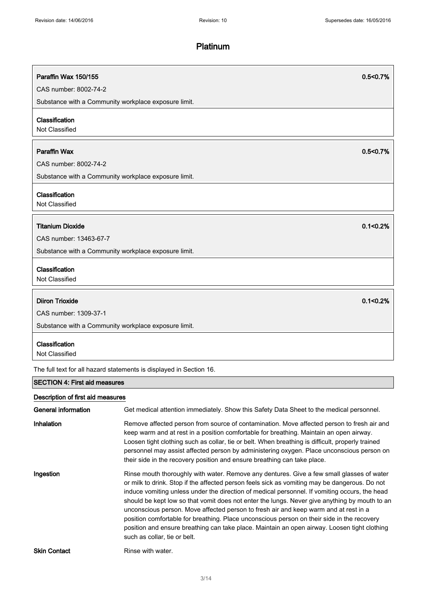| Paraffin Wax 150/155                                                | 0.5<0.7%      |  |
|---------------------------------------------------------------------|---------------|--|
| CAS number: 8002-74-2                                               |               |  |
| Substance with a Community workplace exposure limit.                |               |  |
| Classification<br>Not Classified                                    |               |  |
| <b>Paraffin Wax</b>                                                 | 0.5<0.7%      |  |
| CAS number: 8002-74-2                                               |               |  |
| Substance with a Community workplace exposure limit.                |               |  |
| Classification<br>Not Classified                                    |               |  |
| <b>Titanium Dioxide</b>                                             | $0.1 < 0.2\%$ |  |
| CAS number: 13463-67-7                                              |               |  |
| Substance with a Community workplace exposure limit.                |               |  |
| Classification<br>Not Classified                                    |               |  |
| <b>Diiron Trioxide</b>                                              | 0.1 < 0.2%    |  |
| CAS number: 1309-37-1                                               |               |  |
| Substance with a Community workplace exposure limit.                |               |  |
| Classification<br>Not Classified                                    |               |  |
| The full text for all hazard statements is displayed in Section 16. |               |  |
| <b>SECTION 4: First aid measures</b>                                |               |  |

# Description of first aid measures

| General information | Get medical attention immediately. Show this Safety Data Sheet to the medical personnel.                                                                                                                                                                                                                                                                                                                                                                                                                                                                                                                                                                                                                           |
|---------------------|--------------------------------------------------------------------------------------------------------------------------------------------------------------------------------------------------------------------------------------------------------------------------------------------------------------------------------------------------------------------------------------------------------------------------------------------------------------------------------------------------------------------------------------------------------------------------------------------------------------------------------------------------------------------------------------------------------------------|
| Inhalation          | Remove affected person from source of contamination. Move affected person to fresh air and<br>keep warm and at rest in a position comfortable for breathing. Maintain an open airway.<br>Loosen tight clothing such as collar, tie or belt. When breathing is difficult, properly trained<br>personnel may assist affected person by administering oxygen. Place unconscious person on<br>their side in the recovery position and ensure breathing can take place.                                                                                                                                                                                                                                                 |
| Ingestion           | Rinse mouth thoroughly with water. Remove any dentures. Give a few small glasses of water<br>or milk to drink. Stop if the affected person feels sick as vomiting may be dangerous. Do not<br>induce vomiting unless under the direction of medical personnel. If vomiting occurs, the head<br>should be kept low so that vomit does not enter the lungs. Never give anything by mouth to an<br>unconscious person. Move affected person to fresh air and keep warm and at rest in a<br>position comfortable for breathing. Place unconscious person on their side in the recovery<br>position and ensure breathing can take place. Maintain an open airway. Loosen tight clothing<br>such as collar, tie or belt. |
| <b>Skin Contact</b> | Rinse with water.                                                                                                                                                                                                                                                                                                                                                                                                                                                                                                                                                                                                                                                                                                  |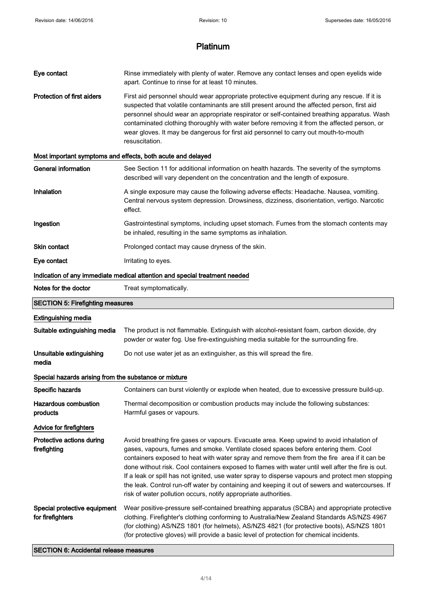| Eye contact                                           | Rinse immediately with plenty of water. Remove any contact lenses and open eyelids wide<br>apart. Continue to rinse for at least 10 minutes.                                                                                                                                                                                                                                                                                                                                                                                                                                                                                                                  |
|-------------------------------------------------------|---------------------------------------------------------------------------------------------------------------------------------------------------------------------------------------------------------------------------------------------------------------------------------------------------------------------------------------------------------------------------------------------------------------------------------------------------------------------------------------------------------------------------------------------------------------------------------------------------------------------------------------------------------------|
| <b>Protection of first aiders</b>                     | First aid personnel should wear appropriate protective equipment during any rescue. If it is<br>suspected that volatile contaminants are still present around the affected person, first aid<br>personnel should wear an appropriate respirator or self-contained breathing apparatus. Wash<br>contaminated clothing thoroughly with water before removing it from the affected person, or<br>wear gloves. It may be dangerous for first aid personnel to carry out mouth-to-mouth<br>resuscitation.                                                                                                                                                          |
|                                                       | Most important symptoms and effects, both acute and delayed                                                                                                                                                                                                                                                                                                                                                                                                                                                                                                                                                                                                   |
| <b>General information</b>                            | See Section 11 for additional information on health hazards. The severity of the symptoms<br>described will vary dependent on the concentration and the length of exposure.                                                                                                                                                                                                                                                                                                                                                                                                                                                                                   |
| Inhalation                                            | A single exposure may cause the following adverse effects: Headache. Nausea, vomiting.<br>Central nervous system depression. Drowsiness, dizziness, disorientation, vertigo. Narcotic<br>effect.                                                                                                                                                                                                                                                                                                                                                                                                                                                              |
| Ingestion                                             | Gastrointestinal symptoms, including upset stomach. Fumes from the stomach contents may<br>be inhaled, resulting in the same symptoms as inhalation.                                                                                                                                                                                                                                                                                                                                                                                                                                                                                                          |
| Skin contact                                          | Prolonged contact may cause dryness of the skin.                                                                                                                                                                                                                                                                                                                                                                                                                                                                                                                                                                                                              |
| Eye contact                                           | Irritating to eyes.                                                                                                                                                                                                                                                                                                                                                                                                                                                                                                                                                                                                                                           |
|                                                       | Indication of any immediate medical attention and special treatment needed                                                                                                                                                                                                                                                                                                                                                                                                                                                                                                                                                                                    |
| Notes for the doctor                                  | Treat symptomatically.                                                                                                                                                                                                                                                                                                                                                                                                                                                                                                                                                                                                                                        |
| <b>SECTION 5: Firefighting measures</b>               |                                                                                                                                                                                                                                                                                                                                                                                                                                                                                                                                                                                                                                                               |
| <b>Extinguishing media</b>                            |                                                                                                                                                                                                                                                                                                                                                                                                                                                                                                                                                                                                                                                               |
| Suitable extinguishing media                          | The product is not flammable. Extinguish with alcohol-resistant foam, carbon dioxide, dry<br>powder or water fog. Use fire-extinguishing media suitable for the surrounding fire.                                                                                                                                                                                                                                                                                                                                                                                                                                                                             |
| Unsuitable extinguishing<br>media                     | Do not use water jet as an extinguisher, as this will spread the fire.                                                                                                                                                                                                                                                                                                                                                                                                                                                                                                                                                                                        |
| Special hazards arising from the substance or mixture |                                                                                                                                                                                                                                                                                                                                                                                                                                                                                                                                                                                                                                                               |
| Specific hazards                                      | Containers can burst violently or explode when heated, due to excessive pressure build-up.                                                                                                                                                                                                                                                                                                                                                                                                                                                                                                                                                                    |
| <b>Hazardous combustion</b><br>products               | Thermal decomposition or combustion products may include the following substances:<br>Harmful gases or vapours.                                                                                                                                                                                                                                                                                                                                                                                                                                                                                                                                               |
| <b>Advice for firefighters</b>                        |                                                                                                                                                                                                                                                                                                                                                                                                                                                                                                                                                                                                                                                               |
| Protective actions during<br>firefighting             | Avoid breathing fire gases or vapours. Evacuate area. Keep upwind to avoid inhalation of<br>gases, vapours, fumes and smoke. Ventilate closed spaces before entering them. Cool<br>containers exposed to heat with water spray and remove them from the fire area if it can be<br>done without risk. Cool containers exposed to flames with water until well after the fire is out.<br>If a leak or spill has not ignited, use water spray to disperse vapours and protect men stopping<br>the leak. Control run-off water by containing and keeping it out of sewers and watercourses. If<br>risk of water pollution occurs, notify appropriate authorities. |
| Special protective equipment<br>for firefighters      | Wear positive-pressure self-contained breathing apparatus (SCBA) and appropriate protective<br>clothing. Firefighter's clothing conforming to Australia/New Zealand Standards AS/NZS 4967<br>(for clothing) AS/NZS 1801 (for helmets), AS/NZS 4821 (for protective boots), AS/NZS 1801<br>(for protective gloves) will provide a basic level of protection for chemical incidents.                                                                                                                                                                                                                                                                            |

SECTION 6: Accidental release measures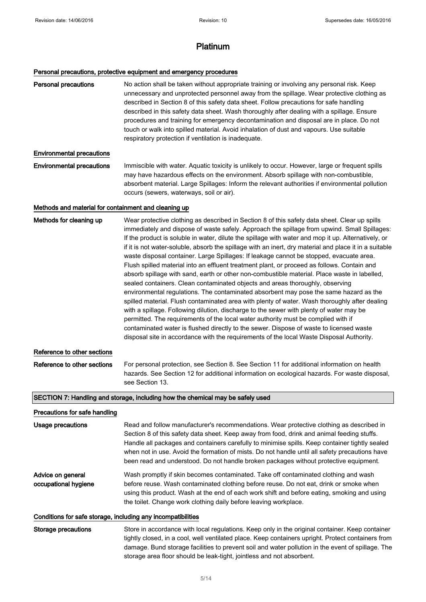# Personal precautions, protective equipment and emergency procedures

| <b>Personal precautions</b>                                  | No action shall be taken without appropriate training or involving any personal risk. Keep<br>unnecessary and unprotected personnel away from the spillage. Wear protective clothing as<br>described in Section 8 of this safety data sheet. Follow precautions for safe handling<br>described in this safety data sheet. Wash thoroughly after dealing with a spillage. Ensure<br>procedures and training for emergency decontamination and disposal are in place. Do not<br>touch or walk into spilled material. Avoid inhalation of dust and vapours. Use suitable<br>respiratory protection if ventilation is inadequate.                                                                                                                                                                                                                                                                                                                                                                                                                                                                                                                                                                                                                                                                                                                              |
|--------------------------------------------------------------|------------------------------------------------------------------------------------------------------------------------------------------------------------------------------------------------------------------------------------------------------------------------------------------------------------------------------------------------------------------------------------------------------------------------------------------------------------------------------------------------------------------------------------------------------------------------------------------------------------------------------------------------------------------------------------------------------------------------------------------------------------------------------------------------------------------------------------------------------------------------------------------------------------------------------------------------------------------------------------------------------------------------------------------------------------------------------------------------------------------------------------------------------------------------------------------------------------------------------------------------------------------------------------------------------------------------------------------------------------|
| <b>Environmental precautions</b>                             |                                                                                                                                                                                                                                                                                                                                                                                                                                                                                                                                                                                                                                                                                                                                                                                                                                                                                                                                                                                                                                                                                                                                                                                                                                                                                                                                                            |
| <b>Environmental precautions</b>                             | Immiscible with water. Aquatic toxicity is unlikely to occur. However, large or frequent spills<br>may have hazardous effects on the environment. Absorb spillage with non-combustible,<br>absorbent material. Large Spillages: Inform the relevant authorities if environmental pollution<br>occurs (sewers, waterways, soil or air).                                                                                                                                                                                                                                                                                                                                                                                                                                                                                                                                                                                                                                                                                                                                                                                                                                                                                                                                                                                                                     |
| Methods and material for containment and cleaning up         |                                                                                                                                                                                                                                                                                                                                                                                                                                                                                                                                                                                                                                                                                                                                                                                                                                                                                                                                                                                                                                                                                                                                                                                                                                                                                                                                                            |
| Methods for cleaning up                                      | Wear protective clothing as described in Section 8 of this safety data sheet. Clear up spills<br>immediately and dispose of waste safely. Approach the spillage from upwind. Small Spillages:<br>If the product is soluble in water, dilute the spillage with water and mop it up. Alternatively, or<br>if it is not water-soluble, absorb the spillage with an inert, dry material and place it in a suitable<br>waste disposal container. Large Spillages: If leakage cannot be stopped, evacuate area.<br>Flush spilled material into an effluent treatment plant, or proceed as follows. Contain and<br>absorb spillage with sand, earth or other non-combustible material. Place waste in labelled,<br>sealed containers. Clean contaminated objects and areas thoroughly, observing<br>environmental regulations. The contaminated absorbent may pose the same hazard as the<br>spilled material. Flush contaminated area with plenty of water. Wash thoroughly after dealing<br>with a spillage. Following dilution, discharge to the sewer with plenty of water may be<br>permitted. The requirements of the local water authority must be complied with if<br>contaminated water is flushed directly to the sewer. Dispose of waste to licensed waste<br>disposal site in accordance with the requirements of the local Waste Disposal Authority. |
| Reference to other sections                                  |                                                                                                                                                                                                                                                                                                                                                                                                                                                                                                                                                                                                                                                                                                                                                                                                                                                                                                                                                                                                                                                                                                                                                                                                                                                                                                                                                            |
| Reference to other sections                                  | For personal protection, see Section 8. See Section 11 for additional information on health<br>hazards. See Section 12 for additional information on ecological hazards. For waste disposal,<br>see Section 13.                                                                                                                                                                                                                                                                                                                                                                                                                                                                                                                                                                                                                                                                                                                                                                                                                                                                                                                                                                                                                                                                                                                                            |
|                                                              | SECTION 7: Handling and storage, including how the chemical may be safely used                                                                                                                                                                                                                                                                                                                                                                                                                                                                                                                                                                                                                                                                                                                                                                                                                                                                                                                                                                                                                                                                                                                                                                                                                                                                             |
| Precautions for safe handling                                |                                                                                                                                                                                                                                                                                                                                                                                                                                                                                                                                                                                                                                                                                                                                                                                                                                                                                                                                                                                                                                                                                                                                                                                                                                                                                                                                                            |
| Usage precautions                                            | Read and follow manufacturer's recommendations. Wear protective clothing as described in<br>Section 8 of this safety data sheet. Keep away from food, drink and animal feeding stuffs.<br>Handle all packages and containers carefully to minimise spills. Keep container tightly sealed<br>when not in use. Avoid the formation of mists. Do not handle until all safety precautions have<br>been read and understood. Do not handle broken packages without protective equipment.                                                                                                                                                                                                                                                                                                                                                                                                                                                                                                                                                                                                                                                                                                                                                                                                                                                                        |
| Advice on general<br>occupational hygiene                    | Wash promptly if skin becomes contaminated. Take off contaminated clothing and wash<br>before reuse. Wash contaminated clothing before reuse. Do not eat, drink or smoke when<br>using this product. Wash at the end of each work shift and before eating, smoking and using<br>the toilet. Change work clothing daily before leaving workplace.                                                                                                                                                                                                                                                                                                                                                                                                                                                                                                                                                                                                                                                                                                                                                                                                                                                                                                                                                                                                           |
| Conditions for safe storage, including any incompatibilities |                                                                                                                                                                                                                                                                                                                                                                                                                                                                                                                                                                                                                                                                                                                                                                                                                                                                                                                                                                                                                                                                                                                                                                                                                                                                                                                                                            |
| <b>Storage precautions</b>                                   | Store in accordance with local regulations. Keep only in the original container. Keep container<br>tightly closed, in a cool, well ventilated place. Keep containers upright. Protect containers from<br>damage. Bund storage facilities to prevent soil and water pollution in the event of spillage. The<br>storage area floor should be leak-tight, jointless and not absorbent.                                                                                                                                                                                                                                                                                                                                                                                                                                                                                                                                                                                                                                                                                                                                                                                                                                                                                                                                                                        |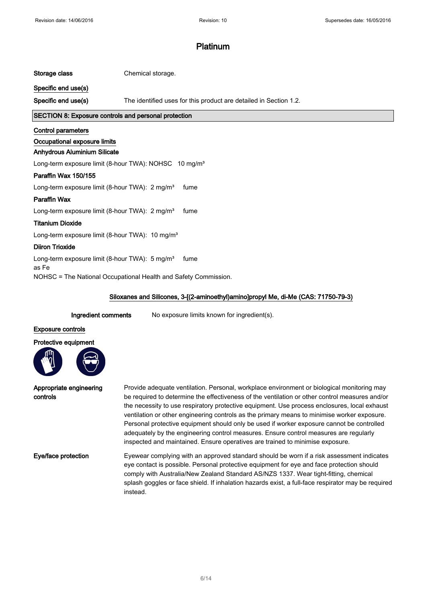### Storage class Chemical storage.

Specific end use(s)

Specific end use(s) The identified uses for this product are detailed in Section 1.2.

## SECTION 8: Exposure controls and personal protection

### Control parameters

## Occupational exposure limits

### Anhydrous Aluminium Silicate

Long-term exposure limit (8-hour TWA): NOHSC 10 mg/m<sup>3</sup>

## Paraffin Wax 150/155

Long-term exposure limit (8-hour TWA): 2 mg/m<sup>3</sup> fume

### Paraffin Wax

Long-term exposure limit (8-hour TWA): 2 mg/m<sup>3</sup> fume

### Titanium Dioxide

Long-term exposure limit (8-hour TWA): 10 mg/m<sup>3</sup>

## Diiron Trioxide

as Fe

Long-term exposure limit (8-hour TWA): 5 mg/m<sup>3</sup> fume

NOHSC = The National Occupational Health and Safety Commission.

### Siloxanes and Silicones, 3-[(2-aminoethyl)amino]propyl Me, di-Me (CAS: 71750-79-3)

Ingredient comments No exposure limits known for ingredient(s).

### Exposure controls





| Appropriate engineering<br>controls | Provide adequate ventilation. Personal, workplace environment or biological monitoring may<br>be required to determine the effectiveness of the ventilation or other control measures and/or<br>the necessity to use respiratory protective equipment. Use process enclosures, local exhaust<br>ventilation or other engineering controls as the primary means to minimise worker exposure.<br>Personal protective equipment should only be used if worker exposure cannot be controlled<br>adequately by the engineering control measures. Ensure control measures are regularly<br>inspected and maintained. Ensure operatives are trained to minimise exposure. |
|-------------------------------------|--------------------------------------------------------------------------------------------------------------------------------------------------------------------------------------------------------------------------------------------------------------------------------------------------------------------------------------------------------------------------------------------------------------------------------------------------------------------------------------------------------------------------------------------------------------------------------------------------------------------------------------------------------------------|
| Eye/face protection                 | Eyewear complying with an approved standard should be worn if a risk assessment indicates<br>eye contact is possible. Personal protective equipment for eye and face protection should<br>comply with Australia/New Zealand Standard AS/NZS 1337. Wear tight-fitting, chemical<br>splash goggles or face shield. If inhalation hazards exist, a full-face respirator may be required<br>instead.                                                                                                                                                                                                                                                                   |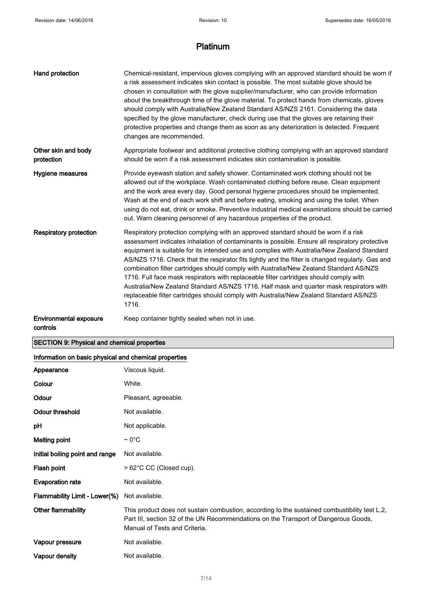| Hand protection                   | Chemical-resistant, impervious gloves complying with an approved standard should be worn if<br>a risk assessment indicates skin contact is possible. The most suitable glove should be<br>chosen in consultation with the glove supplier/manufacturer, who can provide information<br>about the breakthrough time of the glove material. To protect hands from chemicals, gloves<br>should comply with Australia/New Zealand Standard AS/NZS 2161. Considering the data<br>specified by the glove manufacturer, check during use that the gloves are retaining their<br>protective properties and change them as soon as any deterioration is detected. Frequent<br>changes are recommended.                                                                               |
|-----------------------------------|----------------------------------------------------------------------------------------------------------------------------------------------------------------------------------------------------------------------------------------------------------------------------------------------------------------------------------------------------------------------------------------------------------------------------------------------------------------------------------------------------------------------------------------------------------------------------------------------------------------------------------------------------------------------------------------------------------------------------------------------------------------------------|
| Other skin and body<br>protection | Appropriate footwear and additional protective clothing complying with an approved standard<br>should be worn if a risk assessment indicates skin contamination is possible.                                                                                                                                                                                                                                                                                                                                                                                                                                                                                                                                                                                               |
| Hygiene measures                  | Provide eyewash station and safety shower. Contaminated work clothing should not be<br>allowed out of the workplace. Wash contaminated clothing before reuse. Clean equipment<br>and the work area every day. Good personal hygiene procedures should be implemented.<br>Wash at the end of each work shift and before eating, smoking and using the toilet. When<br>using do not eat, drink or smoke. Preventive industrial medical examinations should be carried<br>out. Warn cleaning personnel of any hazardous properties of the product.                                                                                                                                                                                                                            |
| <b>Respiratory protection</b>     | Respiratory protection complying with an approved standard should be worn if a risk<br>assessment indicates inhalation of contaminants is possible. Ensure all respiratory protective<br>equipment is suitable for its intended use and complies with Australia/New Zealand Standard<br>AS/NZS 1716. Check that the respirator fits tightly and the filter is changed regularly. Gas and<br>combination filter cartridges should comply with Australia/New Zealand Standard AS/NZS<br>1716. Full face mask respirators with replaceable filter cartridges should comply with<br>Australia/New Zealand Standard AS/NZS 1716. Half mask and quarter mask respirators with<br>replaceable filter cartridges should comply with Australia/New Zealand Standard AS/NZS<br>1716. |
| <b>Environmental exposure</b>     | Keep container tightly sealed when not in use.                                                                                                                                                                                                                                                                                                                                                                                                                                                                                                                                                                                                                                                                                                                             |

controls

# SECTION 9: Physical and chemical properties

# Information on basic physical and chemical properties

| Appearance                      | Viscous liquid.                                                                                                                                                                                                       |  |
|---------------------------------|-----------------------------------------------------------------------------------------------------------------------------------------------------------------------------------------------------------------------|--|
| Colour                          | White.                                                                                                                                                                                                                |  |
| Odour                           | Pleasant, agreeable.                                                                                                                                                                                                  |  |
| <b>Odour threshold</b>          | Not available.                                                                                                                                                                                                        |  |
| рH                              | Not applicable.                                                                                                                                                                                                       |  |
| <b>Melting point</b>            | $\sim 0^{\circ}$ C                                                                                                                                                                                                    |  |
| Initial boiling point and range | Not available.                                                                                                                                                                                                        |  |
| Flash point                     | > 62°C CC (Closed cup).                                                                                                                                                                                               |  |
| <b>Evaporation rate</b>         | Not available.                                                                                                                                                                                                        |  |
| Flammability Limit - Lower(%)   | Not available.                                                                                                                                                                                                        |  |
| Other flammability              | This product does not sustain combustion, according to the sustained combustibility test L.2,<br>Part III, section 32 of the UN Recommendations on the Transport of Dangerous Goods,<br>Manual of Tests and Criteria. |  |
| Vapour pressure                 | Not available.                                                                                                                                                                                                        |  |
| Vapour density                  | Not available.                                                                                                                                                                                                        |  |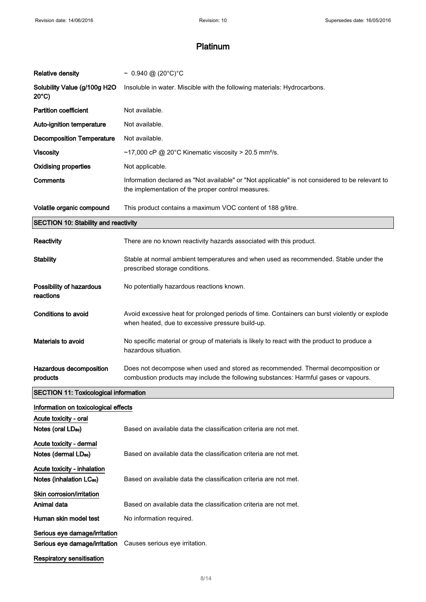| <b>Relative density</b>                                             | ~ $0.940 \text{ @ } (20^{\circ}C)^{\circ}C$                                                                                                                             |
|---------------------------------------------------------------------|-------------------------------------------------------------------------------------------------------------------------------------------------------------------------|
| Solubility Value (g/100g H2O<br>$20^{\circ}$ C)                     | Insoluble in water. Miscible with the following materials: Hydrocarbons.                                                                                                |
| <b>Partition coefficient</b>                                        | Not available.                                                                                                                                                          |
| Auto-ignition temperature                                           | Not available.                                                                                                                                                          |
| <b>Decomposition Temperature</b>                                    | Not available.                                                                                                                                                          |
| <b>Viscosity</b>                                                    | ~17,000 cP @ 20°C Kinematic viscosity > 20.5 mm <sup>2</sup> /s.                                                                                                        |
| <b>Oxidising properties</b>                                         | Not applicable.                                                                                                                                                         |
| Comments                                                            | Information declared as "Not available" or "Not applicable" is not considered to be relevant to<br>the implementation of the proper control measures.                   |
| Volatile organic compound                                           | This product contains a maximum VOC content of 188 g/litre.                                                                                                             |
| <b>SECTION 10: Stability and reactivity</b>                         |                                                                                                                                                                         |
| <b>Reactivity</b>                                                   | There are no known reactivity hazards associated with this product.                                                                                                     |
| <b>Stability</b>                                                    | Stable at normal ambient temperatures and when used as recommended. Stable under the<br>prescribed storage conditions.                                                  |
| Possibility of hazardous<br>reactions                               | No potentially hazardous reactions known.                                                                                                                               |
| Conditions to avoid                                                 | Avoid excessive heat for prolonged periods of time. Containers can burst violently or explode<br>when heated, due to excessive pressure build-up.                       |
| Materials to avoid                                                  | No specific material or group of materials is likely to react with the product to produce a<br>hazardous situation.                                                     |
| Hazardous decomposition<br>products                                 | Does not decompose when used and stored as recommended. Thermal decomposition or<br>combustion products may include the following substances: Harmful gases or vapours. |
| <b>SECTION 11: Toxicological information</b>                        |                                                                                                                                                                         |
| Information on toxicological effects                                |                                                                                                                                                                         |
| Acute toxicity - oral<br>Notes (oral LD <sub>50</sub> )             | Based on available data the classification criteria are not met.                                                                                                        |
| Acute toxicity - dermal<br>Notes (dermal LD <sub>50</sub> )         | Based on available data the classification criteria are not met.                                                                                                        |
| Acute toxicity - inhalation<br>Notes (inhalation LC <sub>50</sub> ) | Based on available data the classification criteria are not met.                                                                                                        |
| Skin corrosion/irritation                                           |                                                                                                                                                                         |
| Animal data                                                         | Based on available data the classification criteria are not met.                                                                                                        |
| Human skin model test                                               | No information required.                                                                                                                                                |
| Serious eye damage/irritation<br>Serious eye damage/irritation      | Causes serious eye irritation.                                                                                                                                          |
| <b>Respiratory sensitisation</b>                                    |                                                                                                                                                                         |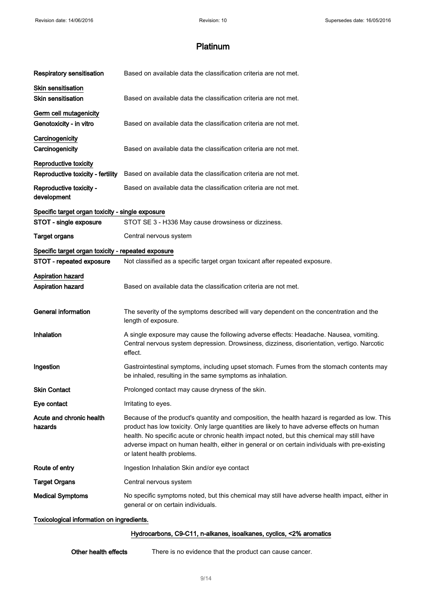| <b>Respiratory sensitisation</b>                           | Based on available data the classification criteria are not met.                                                                                                                                                                                                                                                                                                                                                          |  |
|------------------------------------------------------------|---------------------------------------------------------------------------------------------------------------------------------------------------------------------------------------------------------------------------------------------------------------------------------------------------------------------------------------------------------------------------------------------------------------------------|--|
| <b>Skin sensitisation</b><br><b>Skin sensitisation</b>     | Based on available data the classification criteria are not met.                                                                                                                                                                                                                                                                                                                                                          |  |
| Germ cell mutagenicity<br>Genotoxicity - in vitro          | Based on available data the classification criteria are not met.                                                                                                                                                                                                                                                                                                                                                          |  |
| Carcinogenicity<br>Carcinogenicity                         | Based on available data the classification criteria are not met.                                                                                                                                                                                                                                                                                                                                                          |  |
| Reproductive toxicity<br>Reproductive toxicity - fertility | Based on available data the classification criteria are not met.                                                                                                                                                                                                                                                                                                                                                          |  |
| Reproductive toxicity -<br>development                     | Based on available data the classification criteria are not met.                                                                                                                                                                                                                                                                                                                                                          |  |
| Specific target organ toxicity - single exposure           |                                                                                                                                                                                                                                                                                                                                                                                                                           |  |
| STOT - single exposure                                     | STOT SE 3 - H336 May cause drowsiness or dizziness.                                                                                                                                                                                                                                                                                                                                                                       |  |
| <b>Target organs</b>                                       | Central nervous system                                                                                                                                                                                                                                                                                                                                                                                                    |  |
| Specific target organ toxicity - repeated exposure         |                                                                                                                                                                                                                                                                                                                                                                                                                           |  |
| STOT - repeated exposure                                   | Not classified as a specific target organ toxicant after repeated exposure.                                                                                                                                                                                                                                                                                                                                               |  |
| Aspiration hazard<br><b>Aspiration hazard</b>              | Based on available data the classification criteria are not met.                                                                                                                                                                                                                                                                                                                                                          |  |
| <b>General information</b>                                 | The severity of the symptoms described will vary dependent on the concentration and the<br>length of exposure.                                                                                                                                                                                                                                                                                                            |  |
| Inhalation                                                 | A single exposure may cause the following adverse effects: Headache. Nausea, vomiting.<br>Central nervous system depression. Drowsiness, dizziness, disorientation, vertigo. Narcotic<br>effect.                                                                                                                                                                                                                          |  |
| Ingestion                                                  | Gastrointestinal symptoms, including upset stomach. Fumes from the stomach contents may<br>be inhaled, resulting in the same symptoms as inhalation.                                                                                                                                                                                                                                                                      |  |
| <b>Skin Contact</b>                                        | Prolonged contact may cause dryness of the skin.                                                                                                                                                                                                                                                                                                                                                                          |  |
| Eye contact                                                | Irritating to eyes.                                                                                                                                                                                                                                                                                                                                                                                                       |  |
| Acute and chronic health<br>hazards                        | Because of the product's quantity and composition, the health hazard is regarded as low. This<br>product has low toxicity. Only large quantities are likely to have adverse effects on human<br>health. No specific acute or chronic health impact noted, but this chemical may still have<br>adverse impact on human health, either in general or on certain individuals with pre-existing<br>or latent health problems. |  |
| Route of entry                                             | Ingestion Inhalation Skin and/or eye contact                                                                                                                                                                                                                                                                                                                                                                              |  |
| <b>Target Organs</b>                                       | Central nervous system                                                                                                                                                                                                                                                                                                                                                                                                    |  |
| <b>Medical Symptoms</b>                                    | No specific symptoms noted, but this chemical may still have adverse health impact, either in<br>general or on certain individuals.                                                                                                                                                                                                                                                                                       |  |
| Toxicological information on ingredients.                  |                                                                                                                                                                                                                                                                                                                                                                                                                           |  |

# Hydrocarbons, C9-C11, n-alkanes, isoalkanes, cyclics, <2% aromatics

| Other health effects | There is no evidence that the product can cause cancer. |
|----------------------|---------------------------------------------------------|
|----------------------|---------------------------------------------------------|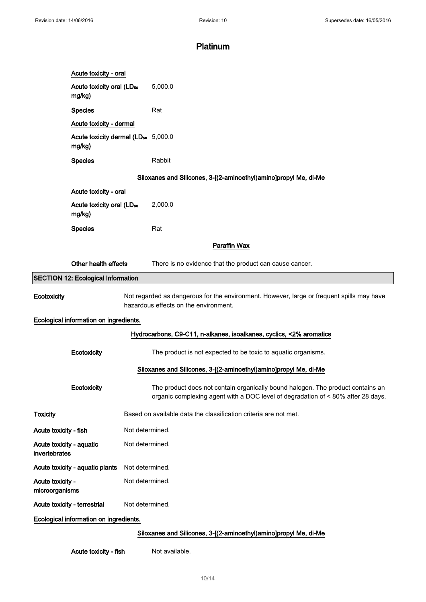|                                                                  | Acute toxicity - oral                                                                                                              |  |                                                                                                                                                                     |  |  |  |
|------------------------------------------------------------------|------------------------------------------------------------------------------------------------------------------------------------|--|---------------------------------------------------------------------------------------------------------------------------------------------------------------------|--|--|--|
|                                                                  | Acute toxicity oral (LD <sub>50</sub><br>mg/kg)                                                                                    |  | 5,000.0                                                                                                                                                             |  |  |  |
|                                                                  | <b>Species</b>                                                                                                                     |  | Rat                                                                                                                                                                 |  |  |  |
|                                                                  | Acute toxicity - dermal                                                                                                            |  |                                                                                                                                                                     |  |  |  |
|                                                                  | Acute toxicity dermal (LD <sub>50</sub> 5,000.0<br>mg/kg)                                                                          |  |                                                                                                                                                                     |  |  |  |
|                                                                  | <b>Species</b>                                                                                                                     |  | Rabbit                                                                                                                                                              |  |  |  |
|                                                                  | Siloxanes and Silicones, 3-[(2-aminoethyl)amino]propyl Me, di-Me                                                                   |  |                                                                                                                                                                     |  |  |  |
|                                                                  | Acute toxicity - oral                                                                                                              |  |                                                                                                                                                                     |  |  |  |
|                                                                  | Acute toxicity oral (LD <sub>50</sub><br>mg/kg)                                                                                    |  | 2,000.0                                                                                                                                                             |  |  |  |
|                                                                  | <b>Species</b>                                                                                                                     |  | Rat                                                                                                                                                                 |  |  |  |
|                                                                  | Paraffin Wax                                                                                                                       |  |                                                                                                                                                                     |  |  |  |
|                                                                  | Other health effects                                                                                                               |  | There is no evidence that the product can cause cancer.                                                                                                             |  |  |  |
|                                                                  | <b>SECTION 12: Ecological Information</b>                                                                                          |  |                                                                                                                                                                     |  |  |  |
| Ecotoxicity                                                      | Not regarded as dangerous for the environment. However, large or frequent spills may have<br>hazardous effects on the environment. |  |                                                                                                                                                                     |  |  |  |
|                                                                  | Ecological information on ingredients.                                                                                             |  |                                                                                                                                                                     |  |  |  |
|                                                                  |                                                                                                                                    |  | Hydrocarbons, C9-C11, n-alkanes, isoalkanes, cyclics, <2% aromatics                                                                                                 |  |  |  |
|                                                                  | Ecotoxicity                                                                                                                        |  | The product is not expected to be toxic to aquatic organisms.                                                                                                       |  |  |  |
|                                                                  |                                                                                                                                    |  | Siloxanes and Silicones, 3-[(2-aminoethyl)amino]propyl Me, di-Me                                                                                                    |  |  |  |
|                                                                  | Ecotoxicity                                                                                                                        |  | The product does not contain organically bound halogen. The product contains an<br>organic complexing agent with a DOC level of degradation of < 80% after 28 days. |  |  |  |
| <b>Toxicity</b>                                                  |                                                                                                                                    |  | Based on available data the classification criteria are not met.                                                                                                    |  |  |  |
| Acute toxicity - fish                                            |                                                                                                                                    |  | Not determined.                                                                                                                                                     |  |  |  |
| Acute toxicity - aquatic<br>Not determined.<br>invertebrates     |                                                                                                                                    |  |                                                                                                                                                                     |  |  |  |
|                                                                  | Acute toxicity - aquatic plants                                                                                                    |  | Not determined.                                                                                                                                                     |  |  |  |
| Not determined.<br>Acute toxicity -<br>microorganisms            |                                                                                                                                    |  |                                                                                                                                                                     |  |  |  |
| Acute toxicity - terrestrial                                     |                                                                                                                                    |  | Not determined.                                                                                                                                                     |  |  |  |
| Ecological information on ingredients.                           |                                                                                                                                    |  |                                                                                                                                                                     |  |  |  |
| Siloxanes and Silicones, 3-[(2-aminoethyl)amino]propyl Me, di-Me |                                                                                                                                    |  |                                                                                                                                                                     |  |  |  |

Acute toxicity - fish Not available.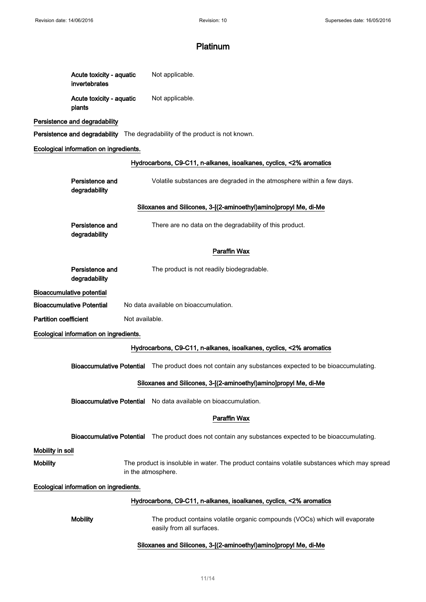| Acute toxicity - aquatic<br>invertebrates | Not applicable. |
|-------------------------------------------|-----------------|
| Acute toxicity - aquatic<br>plants        | Not applicable. |

# Persistence and degradability

Persistence and degradability The degradability of the product is not known.

# Ecological information on ingredients.

|                                        | Hydrocarbons, C9-C11, n-alkanes, isoalkanes, cyclics, <2% aromatics                                                |  |  |
|----------------------------------------|--------------------------------------------------------------------------------------------------------------------|--|--|
| Persistence and<br>degradability       | Volatile substances are degraded in the atmosphere within a few days.                                              |  |  |
|                                        | Siloxanes and Silicones, 3-[(2-aminoethyl)amino]propyl Me, di-Me                                                   |  |  |
| Persistence and<br>degradability       | There are no data on the degradability of this product.                                                            |  |  |
|                                        | Paraffin Wax                                                                                                       |  |  |
| Persistence and<br>degradability       | The product is not readily biodegradable.                                                                          |  |  |
| <b>Bioaccumulative potential</b>       |                                                                                                                    |  |  |
| <b>Bioaccumulative Potential</b>       | No data available on bioaccumulation.                                                                              |  |  |
| <b>Partition coefficient</b>           | Not available.                                                                                                     |  |  |
| Ecological information on ingredients. |                                                                                                                    |  |  |
|                                        | Hydrocarbons, C9-C11, n-alkanes, isoalkanes, cyclics, <2% aromatics                                                |  |  |
| <b>Bioaccumulative Potential</b>       | The product does not contain any substances expected to be bioaccumulating.                                        |  |  |
|                                        | Siloxanes and Silicones, 3-[(2-aminoethyl)amino]propyl Me, di-Me                                                   |  |  |
|                                        | Bioaccumulative Potential No data available on bioaccumulation.                                                    |  |  |
|                                        | Paraffin Wax                                                                                                       |  |  |
|                                        | Bioaccumulative Potential The product does not contain any substances expected to be bioaccumulating.              |  |  |
| Mobility in soil                       |                                                                                                                    |  |  |
| <b>Mobility</b>                        | The product is insoluble in water. The product contains volatile substances which may spread<br>in the atmosphere. |  |  |
| Ecological information on ingredients. |                                                                                                                    |  |  |
|                                        | Hydrocarbons, C9-C11, n-alkanes, isoalkanes, cyclics, <2% aromatics                                                |  |  |
| <b>Mobility</b>                        | The product contains volatile organic compounds (VOCs) which will evaporate<br>easily from all surfaces.           |  |  |
|                                        | Siloxanes and Silicones, 3-[(2-aminoethyl)amino]propyl Me, di-Me                                                   |  |  |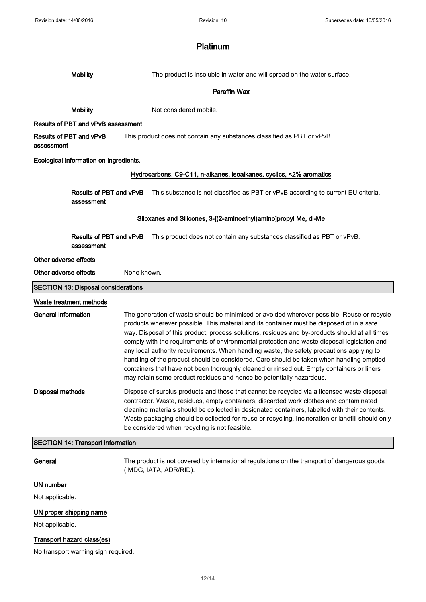| <b>Mobility</b>                            | The product is insoluble in water and will spread on the water surface.                                                                                                                                                                                                                                                                                                                                                                                                                                                                                                                                                                                                                                                                                 |  |  |  |  |
|--------------------------------------------|---------------------------------------------------------------------------------------------------------------------------------------------------------------------------------------------------------------------------------------------------------------------------------------------------------------------------------------------------------------------------------------------------------------------------------------------------------------------------------------------------------------------------------------------------------------------------------------------------------------------------------------------------------------------------------------------------------------------------------------------------------|--|--|--|--|
|                                            | Paraffin Wax                                                                                                                                                                                                                                                                                                                                                                                                                                                                                                                                                                                                                                                                                                                                            |  |  |  |  |
| <b>Mobility</b>                            | Not considered mobile.                                                                                                                                                                                                                                                                                                                                                                                                                                                                                                                                                                                                                                                                                                                                  |  |  |  |  |
| Results of PBT and vPvB assessment         |                                                                                                                                                                                                                                                                                                                                                                                                                                                                                                                                                                                                                                                                                                                                                         |  |  |  |  |
| Results of PBT and vPvB<br>assessment      | This product does not contain any substances classified as PBT or vPvB.                                                                                                                                                                                                                                                                                                                                                                                                                                                                                                                                                                                                                                                                                 |  |  |  |  |
| Ecological information on ingredients.     |                                                                                                                                                                                                                                                                                                                                                                                                                                                                                                                                                                                                                                                                                                                                                         |  |  |  |  |
|                                            | Hydrocarbons, C9-C11, n-alkanes, isoalkanes, cyclics, <2% aromatics                                                                                                                                                                                                                                                                                                                                                                                                                                                                                                                                                                                                                                                                                     |  |  |  |  |
| Results of PBT and vPvB<br>assessment      | This substance is not classified as PBT or vPvB according to current EU criteria.                                                                                                                                                                                                                                                                                                                                                                                                                                                                                                                                                                                                                                                                       |  |  |  |  |
|                                            | Siloxanes and Silicones, 3-[(2-aminoethyl)amino]propyl Me, di-Me                                                                                                                                                                                                                                                                                                                                                                                                                                                                                                                                                                                                                                                                                        |  |  |  |  |
| Results of PBT and vPvB<br>assessment      | This product does not contain any substances classified as PBT or vPvB.                                                                                                                                                                                                                                                                                                                                                                                                                                                                                                                                                                                                                                                                                 |  |  |  |  |
| Other adverse effects                      |                                                                                                                                                                                                                                                                                                                                                                                                                                                                                                                                                                                                                                                                                                                                                         |  |  |  |  |
| Other adverse effects                      | None known.                                                                                                                                                                                                                                                                                                                                                                                                                                                                                                                                                                                                                                                                                                                                             |  |  |  |  |
| <b>SECTION 13: Disposal considerations</b> |                                                                                                                                                                                                                                                                                                                                                                                                                                                                                                                                                                                                                                                                                                                                                         |  |  |  |  |
| Waste treatment methods                    |                                                                                                                                                                                                                                                                                                                                                                                                                                                                                                                                                                                                                                                                                                                                                         |  |  |  |  |
| <b>General information</b>                 | The generation of waste should be minimised or avoided wherever possible. Reuse or recycle<br>products wherever possible. This material and its container must be disposed of in a safe<br>way. Disposal of this product, process solutions, residues and by-products should at all times<br>comply with the requirements of environmental protection and waste disposal legislation and<br>any local authority requirements. When handling waste, the safety precautions applying to<br>handling of the product should be considered. Care should be taken when handling emptied<br>containers that have not been thoroughly cleaned or rinsed out. Empty containers or liners<br>may retain some product residues and hence be potentially hazardous. |  |  |  |  |
| <b>Disposal methods</b>                    | Dispose of surplus products and those that cannot be recycled via a licensed waste disposal<br>contractor. Waste, residues, empty containers, discarded work clothes and contaminated<br>cleaning materials should be collected in designated containers, labelled with their contents.<br>Waste packaging should be collected for reuse or recycling. Incineration or landfill should only<br>be considered when recycling is not feasible.                                                                                                                                                                                                                                                                                                            |  |  |  |  |
| <b>SECTION 14: Transport information</b>   |                                                                                                                                                                                                                                                                                                                                                                                                                                                                                                                                                                                                                                                                                                                                                         |  |  |  |  |
| General                                    | The product is not covered by international regulations on the transport of dangerous goods<br>(IMDG, IATA, ADR/RID).                                                                                                                                                                                                                                                                                                                                                                                                                                                                                                                                                                                                                                   |  |  |  |  |
| UN number                                  |                                                                                                                                                                                                                                                                                                                                                                                                                                                                                                                                                                                                                                                                                                                                                         |  |  |  |  |
| Not applicable.                            |                                                                                                                                                                                                                                                                                                                                                                                                                                                                                                                                                                                                                                                                                                                                                         |  |  |  |  |
| UN proper shipping name                    |                                                                                                                                                                                                                                                                                                                                                                                                                                                                                                                                                                                                                                                                                                                                                         |  |  |  |  |
| Not applicable.                            |                                                                                                                                                                                                                                                                                                                                                                                                                                                                                                                                                                                                                                                                                                                                                         |  |  |  |  |
| Transport hazard class(es)                 |                                                                                                                                                                                                                                                                                                                                                                                                                                                                                                                                                                                                                                                                                                                                                         |  |  |  |  |
| No transport warning sign required.        |                                                                                                                                                                                                                                                                                                                                                                                                                                                                                                                                                                                                                                                                                                                                                         |  |  |  |  |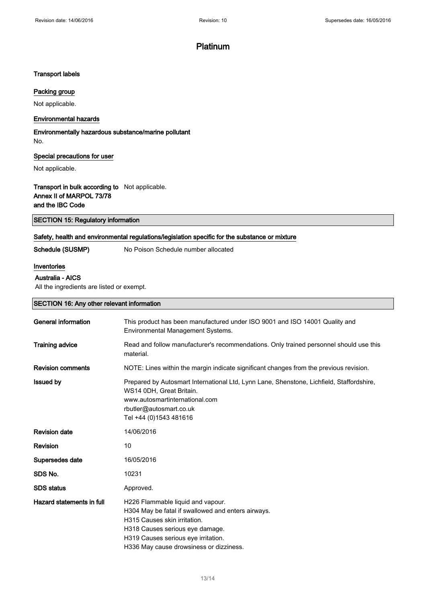## Transport labels

## Packing group

Not applicable.

## Environmental hazards

Environmentally hazardous substance/marine pollutant No.

## Special precautions for user

Not applicable.

# Transport in bulk according to Not applicable. Annex II of MARPOL 73/78 and the IBC Code

## Safety, health and environmental regulations/legislation specific for the substance or mixture

Schedule (SUSMP) No Poison Schedule number allocated

### Inventories

## Australia - AICS

All the ingredients are listed or exempt.

SECTION 16: Any other relevant information

| General information       | This product has been manufactured under ISO 9001 and ISO 14001 Quality and<br>Environmental Management Systems.                                                                                                                             |  |  |  |
|---------------------------|----------------------------------------------------------------------------------------------------------------------------------------------------------------------------------------------------------------------------------------------|--|--|--|
| <b>Training advice</b>    | Read and follow manufacturer's recommendations. Only trained personnel should use this<br>material.                                                                                                                                          |  |  |  |
| <b>Revision comments</b>  | NOTE: Lines within the margin indicate significant changes from the previous revision.                                                                                                                                                       |  |  |  |
| <b>Issued by</b>          | Prepared by Autosmart International Ltd, Lynn Lane, Shenstone, Lichfield, Staffordshire,<br>WS14 0DH, Great Britain.<br>www.autosmartinternational.com<br>rbutler@autosmart.co.uk<br>Tel +44 (0)1543 481616                                  |  |  |  |
| <b>Revision date</b>      | 14/06/2016                                                                                                                                                                                                                                   |  |  |  |
| Revision                  | 10                                                                                                                                                                                                                                           |  |  |  |
| Supersedes date           | 16/05/2016                                                                                                                                                                                                                                   |  |  |  |
| SDS No.                   | 10231                                                                                                                                                                                                                                        |  |  |  |
| <b>SDS</b> status         | Approved.                                                                                                                                                                                                                                    |  |  |  |
| Hazard statements in full | H226 Flammable liquid and vapour.<br>H304 May be fatal if swallowed and enters airways.<br>H315 Causes skin irritation.<br>H318 Causes serious eye damage.<br>H319 Causes serious eye irritation.<br>H336 May cause drowsiness or dizziness. |  |  |  |